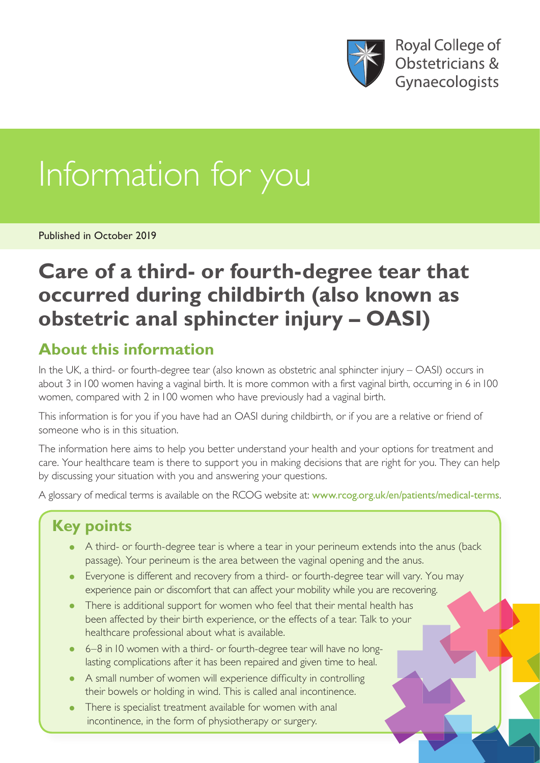

**Royal College of** Obstetricians & Gynaecologists

# Information for you

Published in October 2019

## **Care of a third- or fourth-degree tear that occurred during childbirth (also known as obstetric anal sphincter injury – OASI)**

#### **About this information**

In the UK, a third- or fourth-degree tear (also known as obstetric anal sphincter injury – OASI) occurs in about 3 in100 women having a vaginal birth. It is more common with a first vaginal birth, occurring in 6 in100 women, compared with 2 in 100 women who have previously had a vaginal birth.

This information is for you if you have had an OASI during childbirth, or if you are a relative or friend of someone who is in this situation.

The information here aims to help you better understand your health and your options for treatment and care. Your healthcare team is there to support you in making decisions that are right for you. They can help by discussing your situation with you and answering your questions.

A glossary of medical terms is available on the RCOG website at: [www.rcog.org.uk/en/patients/medical-terms](https://www.rcog.org.uk/en/patients/medical-terms).

### **Key points**

- A third- or fourth-degree tear is where a tear in your perineum extends into the anus (back passage). Your perineum is the area between the vaginal opening and the anus.
- Everyone is different and recovery from a third- or fourth-degree tear will vary. You may experience pain or discomfort that can affect your mobility while you are recovering.
- There is additional support for women who feel that their mental health has been affected by their birth experience, or the effects of a tear. Talk to your healthcare professional about what is available.
- 6-8 in 10 women with a third- or fourth-degree tear will have no longlasting complications after it has been repaired and given time to heal.
- A small number of women will experience difficulty in controlling their bowels or holding in wind. This is called anal incontinence.
- There is specialist treatment available for women with anal incontinence, in the form of physiotherapy or surgery.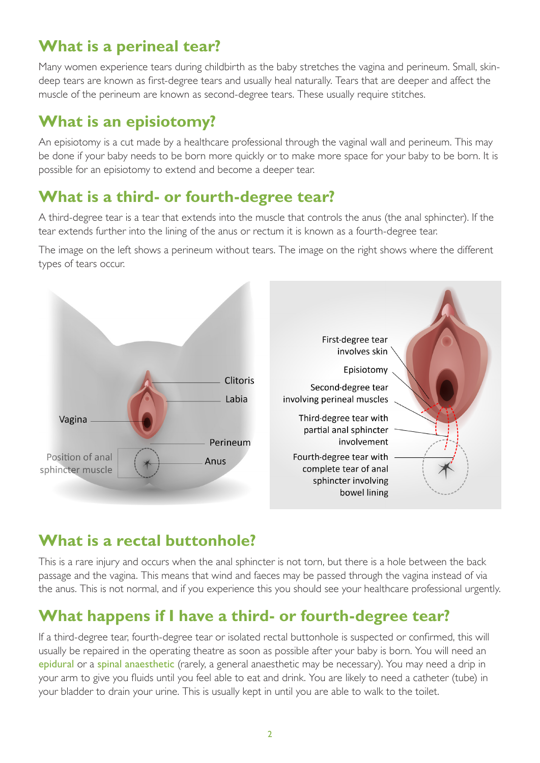#### **What is a perineal tear?**

Many women experience tears during childbirth as the baby stretches the vagina and perineum. Small, skindeep tears are known as first-degree tears and usually heal naturally. Tears that are deeper and affect the muscle of the perineum are known as second-degree tears. These usually require stitches.

#### **What is an episiotomy?**

An episiotomy is a cut made by a healthcare professional through the vaginal wall and perineum. This may be done if your baby needs to be born more quickly or to make more space for your baby to be born. It is possible for an episiotomy to extend and become a deeper tear.

#### **What is a third- or fourth-degree tear?**

A third-degree tear is a tear that extends into the muscle that controls the anus (the anal sphincter). If the tear extends further into the lining of the anus or rectum it is known as a fourth-degree tear.

The image on the left shows a perineum without tears. The image on the right shows where the different types of tears occur.



#### **What is a rectal buttonhole?**

This is a rare injury and occurs when the anal sphincter is not torn, but there is a hole between the back passage and the vagina. This means that wind and faeces may be passed through the vagina instead of via the anus. This is not normal, and if you experience this you should see your healthcare professional urgently.

#### **What happens if I have a third- or fourth-degree tear?**

If a third-degree tear, fourth-degree tear or isolated rectal buttonhole is suspected or confirmed, this will usually be repaired in the operating theatre as soon as possible after your baby is born. You will need an epidural or a spinal anaesthetic (rarely, a general anaesthetic may be necessary). You may need a drip in your arm to give you fluids until you feel able to eat and drink. You are likely to need a catheter (tube) in your bladder to drain your urine. This is usually kept in until you are able to walk to the toilet.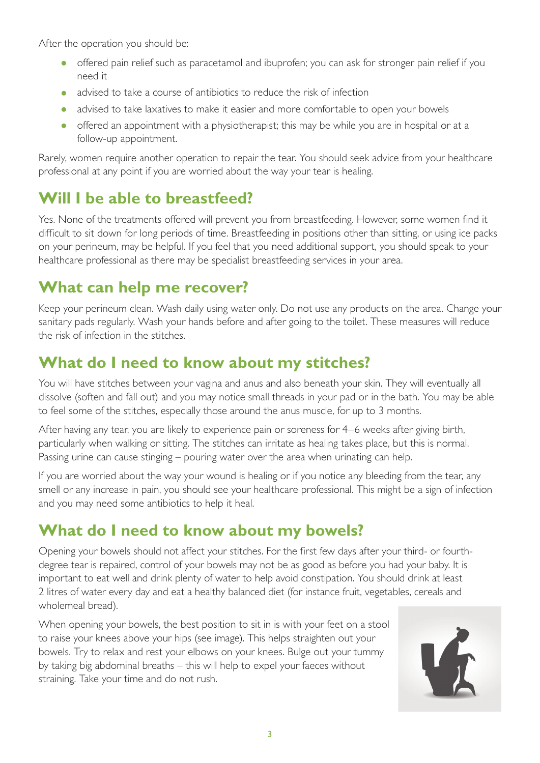After the operation you should be:

- offered pain relief such as paracetamol and ibuprofen; you can ask for stronger pain relief if you need it
- advised to take a course of antibiotics to reduce the risk of infection
- advised to take laxatives to make it easier and more comfortable to open your bowels
- offered an appointment with a physiotherapist; this may be while you are in hospital or at a follow-up appointment.

Rarely, women require another operation to repair the tear. You should seek advice from your healthcare professional at any point if you are worried about the way your tear is healing.

#### **Will I be able to breastfeed?**

Yes. None of the treatments offered will prevent you from breastfeeding. However, some women find it difficult to sit down for long periods of time. Breastfeeding in positions other than sitting, or using ice packs on your perineum, may be helpful. If you feel that you need additional support, you should speak to your healthcare professional as there may be specialist breastfeeding services in your area.

#### **What can help me recover?**

Keep your perineum clean. Wash daily using water only. Do not use any products on the area. Change your sanitary pads regularly. Wash your hands before and after going to the toilet. These measures will reduce the risk of infection in the stitches.

#### **What do I need to know about my stitches?**

You will have stitches between your vagina and anus and also beneath your skin. They will eventually all dissolve (soften and fall out) and you may notice small threads in your pad or in the bath. You may be able to feel some of the stitches, especially those around the anus muscle, for up to 3 months.

After having any tear, you are likely to experience pain or soreness for 4–6 weeks after giving birth, particularly when walking or sitting. The stitches can irritate as healing takes place, but this is normal. Passing urine can cause stinging – pouring water over the area when urinating can help.

If you are worried about the way your wound is healing or if you notice any bleeding from the tear, any smell or any increase in pain, you should see your healthcare professional. This might be a sign of infection and you may need some antibiotics to help it heal.

#### **What do I need to know about my bowels?**

Opening your bowels should not affect your stitches. For the first few days after your third- or fourthdegree tear is repaired, control of your bowels may not be as good as before you had your baby. It is important to eat well and drink plenty of water to help avoid constipation. You should drink at least 2 litres of water every day and eat a healthy balanced diet (for instance fruit, vegetables, cereals and wholemeal bread).

When opening your bowels, the best position to sit in is with your feet on a stool to raise your knees above your hips (see image). This helps straighten out your bowels. Try to relax and rest your elbows on your knees. Bulge out your tummy by taking big abdominal breaths – this will help to expel your faeces without straining. Take your time and do not rush.

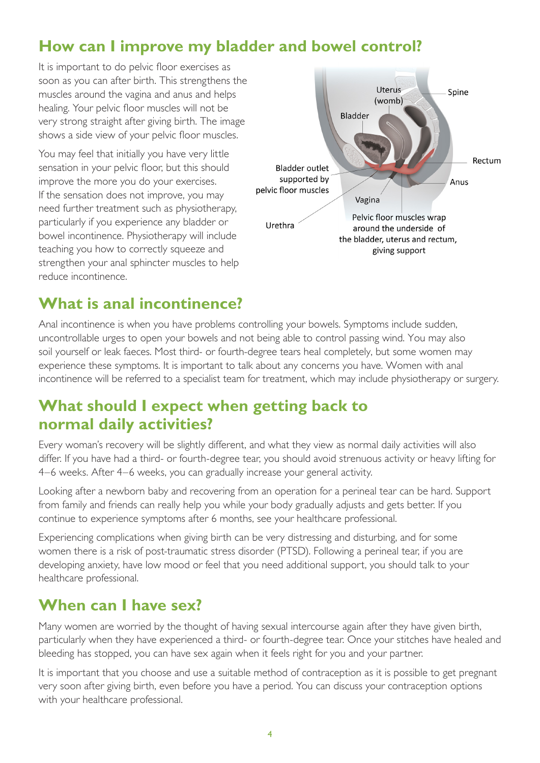#### **How can I improve my bladder and bowel control?**

It is important to do pelvic floor exercises as soon as you can after birth. This strengthens the muscles around the vagina and anus and helps healing. Your pelvic floor muscles will not be very strong straight after giving birth. The image shows a side view of your pelvic floor muscles.

You may feel that initially you have very little sensation in your pelvic floor, but this should improve the more you do your exercises. If the sensation does not improve, you may need further treatment such as physiotherapy, particularly if you experience any bladder or bowel incontinence. Physiotherapy will include teaching you how to correctly squeeze and strengthen your anal sphincter muscles to help reduce incontinence.



#### **What is anal incontinence?**

Anal incontinence is when you have problems controlling your bowels. Symptoms include sudden, uncontrollable urges to open your bowels and not being able to control passing wind. You may also soil yourself or leak faeces. Most third- or fourth-degree tears heal completely, but some women may experience these symptoms. It is important to talk about any concerns you have. Women with anal incontinence will be referred to a specialist team for treatment, which may include physiotherapy or surgery.

#### **What should I expect when getting back to normal daily activities?**

Every woman's recovery will be slightly different, and what they view as normal daily activities will also differ. If you have had a third- or fourth-degree tear, you should avoid strenuous activity or heavy lifting for 4–6 weeks. After 4–6 weeks, you can gradually increase your general activity.

Looking after a newborn baby and recovering from an operation for a perineal tear can be hard. Support from family and friends can really help you while your body gradually adjusts and gets better. If you continue to experience symptoms after 6 months, see your healthcare professional.

Experiencing complications when giving birth can be very distressing and disturbing, and for some women there is a risk of post-traumatic stress disorder (PTSD). Following a perineal tear, if you are developing anxiety, have low mood or feel that you need additional support, you should talk to your healthcare professional.

#### **When can I have sex?**

Many women are worried by the thought of having sexual intercourse again after they have given birth, particularly when they have experienced a third- or fourth-degree tear. Once your stitches have healed and bleeding has stopped, you can have sex again when it feels right for you and your partner.

It is important that you choose and use a suitable method of contraception as it is possible to get pregnant very soon after giving birth, even before you have a period. You can discuss your contraception options with your healthcare professional.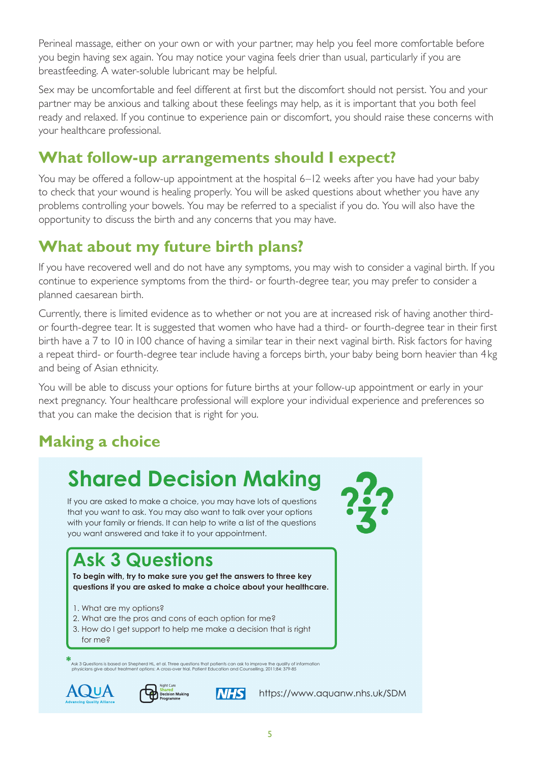Perineal massage, either on your own or with your partner, may help you feel more comfortable before you begin having sex again. You may notice your vagina feels drier than usual, particularly if you are breastfeeding. A water-soluble lubricant may be helpful.

Sex may be uncomfortable and feel different at first but the discomfort should not persist. You and your partner may be anxious and talking about these feelings may help, as it is important that you both feel ready and relaxed. If you continue to experience pain or discomfort, you should raise these concerns with your healthcare professional.

#### **What follow-up arrangements should I expect?**

You may be offered a follow-up appointment at the hospital 6–12 weeks after you have had your baby to check that your wound is healing properly. You will be asked questions about whether you have any problems controlling your bowels. You may be referred to a specialist if you do. You will also have the opportunity to discuss the birth and any concerns that you may have.

#### **What about my future birth plans?**

If you have recovered well and do not have any symptoms, you may wish to consider a vaginal birth. If you continue to experience symptoms from the third- or fourth-degree tear, you may prefer to consider a planned caesarean birth.

Currently, there is limited evidence as to whether or not you are at increased risk of having another thirdor fourth-degree tear. It is suggested that women who have had a third- or fourth-degree tear in their first birth have a 7 to 10 in 100 chance of having a similar tear in their next vaginal birth. Risk factors for having a repeat third- or fourth-degree tear include having a forceps birth, your baby being born heavier than 4kg and being of Asian ethnicity.

You will be able to discuss your options for future births at your follow-up appointment or early in your next pregnancy. Your healthcare professional will explore your individual experience and preferences so that you can make the decision that is right for you.

### **Making a choice**